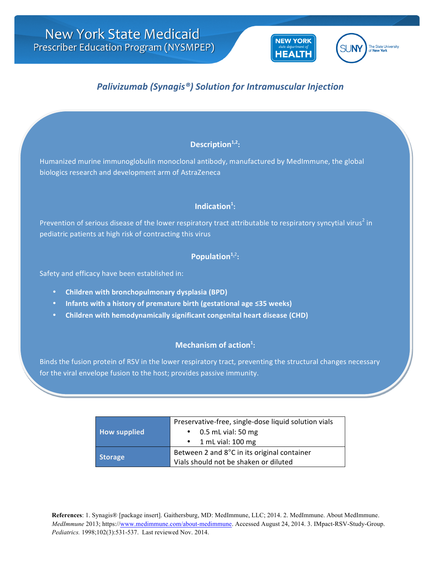

# *Palivizumab (Synagis®) Solution for Intramuscular Injection*

## Description<sup>1,2</sup>:

Humanized murine immunoglobulin monoclonal antibody, manufactured by MedImmune, the global biologics research and development arm of AstraZeneca

## Indication<sup>1</sup>:

Prevention of serious disease of the lower respiratory tract attributable to respiratory syncytial virus<sup>2</sup> in pediatric patients at high risk of contracting this virus

### Population<sup>1,2</sup>:

Safety and efficacy have been established in:

- **Children with bronchopulmonary dysplasia (BPD)**
- **•** Infants with a history of premature birth (gestational age ≤35 weeks)
- **Children with hemodynamically significant congenital heart disease (CHD)**

### **Mechanism of action**<sup>1</sup>:

Binds the fusion protein of RSV in the lower respiratory tract, preventing the structural changes necessary for the viral envelope fusion to the host; provides passive immunity.

|                     | Preservative-free, single-dose liquid solution vials |  |
|---------------------|------------------------------------------------------|--|
| <b>How supplied</b> | 0.5 mL vial: 50 mg                                   |  |
|                     | $\cdot$ 1 mL vial: 100 mg                            |  |
| <b>Storage</b>      | Between 2 and 8°C in its original container          |  |
|                     | Vials should not be shaken or diluted                |  |

**References**: 1. Synagis® [package insert]. Gaithersburg, MD: MedImmune, LLC; 2014. 2. MedImmune. About MedImmune. *MedImmune* 2013; https://www.medimmune.com/about-medimmune. Accessed August 24, 2014. 3. IMpact-RSV-Study-Group. *Pediatrics.* 1998;102(3):531-537. Last reviewed Nov. 2014.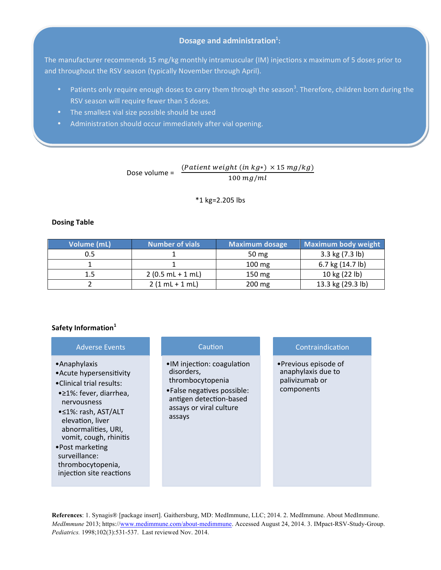### **Dosage and administration**<sup>1</sup>:

The manufacturer recommends 15 mg/kg monthly intramuscular (IM) injections x maximum of 5 doses prior to and throughout the RSV season (typically November through April).

- Patients only require enough doses to carry them through the season<sup>3</sup>. Therefore, children born during the RSV season will require fewer than 5 doses.
- The smallest vial size possible should be used
- Administration should occur immediately after vial opening.

### Dose volume =  $\frac{(Patient weight (in kg*) \times 15 mg/kg)}{1500}$  $100$   $mg/ml$

 $*1$  kg=2.205 lbs

#### **Dosing Table**

| Volume (mL) | <b>Number of vials</b> | <b>Maximum dosage</b> | Maximum body weight |
|-------------|------------------------|-----------------------|---------------------|
| 0.5         |                        | 50 mg                 | 3.3 kg (7.3 lb)     |
|             |                        | $100 \text{ mg}$      | 6.7 kg (14.7 lb)    |
|             | $2(0.5 mL + 1 mL)$     | 150 mg                | 10 kg (22 lb)       |
|             | $2(1 mL + 1 mL)$       | 200 mg                | 13.3 kg (29.3 lb)   |

#### Safety Information<sup>1</sup>

| <b>Adverse Events</b> |  |
|-----------------------|--|
|                       |  |

- •Anaphylaxis
- Acute hypersensitivity
- •Clinical trial results:
- •≥1%: fever, diarrhea, nervousness
- •≤1%: rash, AST/ALT elevation, liver abnormalities, URI, vomit, cough, rhinitis
- •Post marketing surveillance: thrombocytopenia, injection site reactions

#### Caution

- •IM injection: coagulation disorders, thrombocytopenia
- •False negatives possible: antigen detection-based assays or viral culture assays

#### Contraindication

•Previous episode of anaphylaxis due to palivizumab or components 

**References**: 1. Synagis® [package insert]. Gaithersburg, MD: MedImmune, LLC; 2014. 2. MedImmune. About MedImmune. *MedImmune* 2013; https://www.medimmune.com/about-medimmune. Accessed August 24, 2014. 3. IMpact-RSV-Study-Group. *Pediatrics.* 1998;102(3):531-537. Last reviewed Nov. 2014.